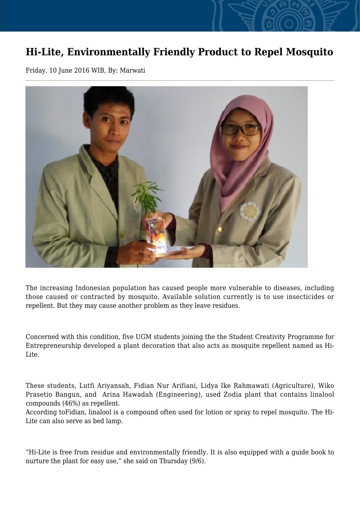## **Hi-Lite, Environmentally Friendly Product to Repel Mosquito**

Friday, 10 June 2016 WIB, By: Marwati



The increasing Indonesian population has caused people more vulnerable to diseases, including those caused or contracted by mosquito. Available solution currently is to use insecticides or repellent. But they may cause another problem as they leave residues.

Concerned with this condition, five UGM students joining the the Student Creativity Programme for Entrepreneurship developed a plant decoration that also acts as mosquite repellent named as Hi-Lite.

These students, Lutfi Ariyansah, Fidian Nur Arifiani, Lidya Ike Rahmawati (Agriculture), Wiko Prasetio Bangun, and Arina Hawadah (Engineering), used Zodia plant that contains linalool compounds (46%) as repellent.

According toFidian, linalool is a compound often used for lotion or spray to repel mosquito. The Hi-Lite can also serve as bed lamp.

"Hi-Lite is free from residue and environmentally friendly. It is also equipped with a guide book to nurture the plant for easy use," she said on Thursday (9/6).